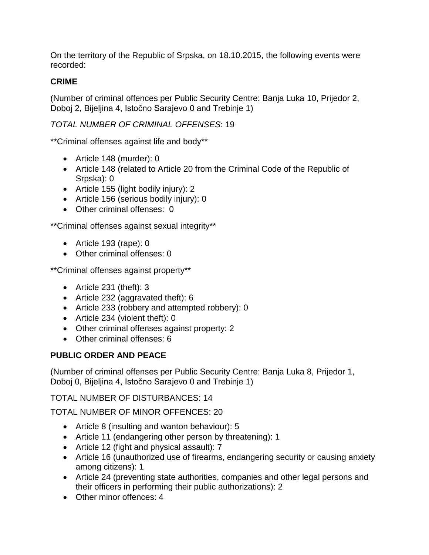On the territory of the Republic of Srpska, on 18.10.2015, the following events were recorded:

# **CRIME**

(Number of criminal offences per Public Security Centre: Banja Luka 10, Prijedor 2, Doboj 2, Bijeljina 4, Istočno Sarajevo 0 and Trebinje 1)

# *TOTAL NUMBER OF CRIMINAL OFFENSES*: 19

\*\*Criminal offenses against life and body\*\*

- Article 148 (murder): 0
- Article 148 (related to Article 20 from the Criminal Code of the Republic of Srpska): 0
- Article 155 (light bodily injury): 2
- Article 156 (serious bodily injury): 0
- Other criminal offenses: 0

\*\*Criminal offenses against sexual integrity\*\*

- Article 193 (rape): 0
- Other criminal offenses: 0

\*\*Criminal offenses against property\*\*

- Article 231 (theft): 3
- Article 232 (aggravated theft): 6
- Article 233 (robbery and attempted robbery): 0
- Article 234 (violent theft): 0
- Other criminal offenses against property: 2
- Other criminal offenses: 6

# **PUBLIC ORDER AND PEACE**

(Number of criminal offenses per Public Security Centre: Banja Luka 8, Prijedor 1, Doboj 0, Bijeljina 4, Istočno Sarajevo 0 and Trebinje 1)

TOTAL NUMBER OF DISTURBANCES: 14

TOTAL NUMBER OF MINOR OFFENCES: 20

- Article 8 (insulting and wanton behaviour): 5
- Article 11 (endangering other person by threatening): 1
- Article 12 (fight and physical assault): 7
- Article 16 (unauthorized use of firearms, endangering security or causing anxiety among citizens): 1
- Article 24 (preventing state authorities, companies and other legal persons and their officers in performing their public authorizations): 2
- Other minor offences: 4